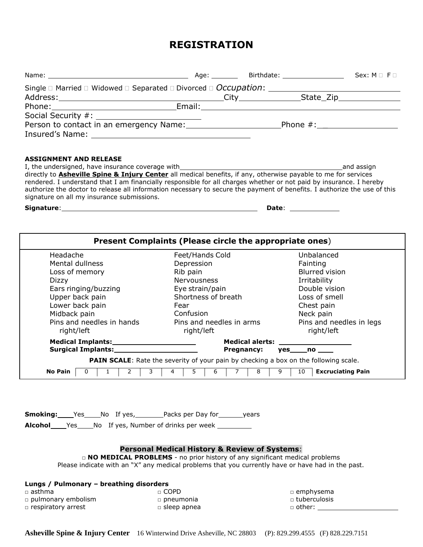## **REGISTRATION**

| Address: City City State_Zip State_Zip                                                                                                                                                                        |                                                          |                                                                                      |  |
|---------------------------------------------------------------------------------------------------------------------------------------------------------------------------------------------------------------|----------------------------------------------------------|--------------------------------------------------------------------------------------|--|
|                                                                                                                                                                                                               |                                                          |                                                                                      |  |
|                                                                                                                                                                                                               |                                                          |                                                                                      |  |
| Person to contact in an emergency Name: ____________________________Phone #: _______________________                                                                                                          |                                                          |                                                                                      |  |
|                                                                                                                                                                                                               |                                                          |                                                                                      |  |
|                                                                                                                                                                                                               |                                                          |                                                                                      |  |
|                                                                                                                                                                                                               |                                                          |                                                                                      |  |
| <b>ASSIGNMENT AND RELEASE</b>                                                                                                                                                                                 |                                                          |                                                                                      |  |
| I, the undersigned, have insurance coverage with________________________________<br>directly to <b>Asheville Spine &amp; Injury Center</b> all medical benefits, if any, otherwise payable to me for services |                                                          | and assign                                                                           |  |
| rendered. I understand that I am financially responsible for all charges whether or not paid by insurance. I hereby                                                                                           |                                                          |                                                                                      |  |
| authorize the doctor to release all information necessary to secure the payment of benefits. I authorize the use of this                                                                                      |                                                          |                                                                                      |  |
| signature on all my insurance submissions.                                                                                                                                                                    |                                                          |                                                                                      |  |
|                                                                                                                                                                                                               |                                                          |                                                                                      |  |
|                                                                                                                                                                                                               |                                                          |                                                                                      |  |
|                                                                                                                                                                                                               |                                                          |                                                                                      |  |
|                                                                                                                                                                                                               | Present Complaints (Please circle the appropriate ones)  |                                                                                      |  |
|                                                                                                                                                                                                               |                                                          |                                                                                      |  |
| Headache                                                                                                                                                                                                      | Feet/Hands Cold                                          | Unbalanced                                                                           |  |
| Mental dullness                                                                                                                                                                                               | Depression                                               | Fainting<br><b>Blurred vision</b>                                                    |  |
| Loss of memory<br>Dizzy                                                                                                                                                                                       | Rib pain<br>Nervousness                                  | Irritability                                                                         |  |
| Ears ringing/buzzing                                                                                                                                                                                          | Eye strain/pain                                          | Double vision                                                                        |  |
| Upper back pain                                                                                                                                                                                               | Shortness of breath                                      | Loss of smell                                                                        |  |
| Lower back pain                                                                                                                                                                                               | Fear                                                     | Chest pain                                                                           |  |
| Midback pain                                                                                                                                                                                                  | Confusion                                                | Neck pain                                                                            |  |
| Pins and needles in hands                                                                                                                                                                                     | Pins and needles in arms                                 | Pins and needles in legs                                                             |  |
| right/left                                                                                                                                                                                                    | right/left                                               | right/left                                                                           |  |
|                                                                                                                                                                                                               |                                                          |                                                                                      |  |
| Surgical Implants: 1997 1998                                                                                                                                                                                  | <b>Pregnancy:</b>                                        | yes no                                                                               |  |
|                                                                                                                                                                                                               |                                                          | PAIN SCALE: Rate the severity of your pain by checking a box on the following scale. |  |
| $\overline{3}$<br>$2 \mid$<br>No Pain                                                                                                                                                                         | 4                                                        | 9<br>10<br><b>Excruciating Pain</b>                                                  |  |
|                                                                                                                                                                                                               |                                                          |                                                                                      |  |
|                                                                                                                                                                                                               |                                                          |                                                                                      |  |
|                                                                                                                                                                                                               |                                                          |                                                                                      |  |
|                                                                                                                                                                                                               |                                                          |                                                                                      |  |
| <b>Smoking:</b> Yes No If yes, Packs per Day for years                                                                                                                                                        |                                                          |                                                                                      |  |
|                                                                                                                                                                                                               |                                                          |                                                                                      |  |
|                                                                                                                                                                                                               |                                                          |                                                                                      |  |
|                                                                                                                                                                                                               |                                                          |                                                                                      |  |
| <b>NO MEDICAL PROBLEMS</b> - no prior history of any significant medical problems                                                                                                                             | <b>Personal Medical History &amp; Review of Systems:</b> |                                                                                      |  |
| Please indicate with an "X" any medical problems that you currently have or have had in the past.                                                                                                             |                                                          |                                                                                      |  |
|                                                                                                                                                                                                               |                                                          |                                                                                      |  |
| Lungs / Pulmonary - breathing disorders                                                                                                                                                                       |                                                          |                                                                                      |  |
| $\Box$ COPD<br>$\Box$ asthma                                                                                                                                                                                  |                                                          | $\Box$ emphysema                                                                     |  |
| $\square$ pulmonary embolism                                                                                                                                                                                  | $\Box$ pneumonia                                         | □ tuberculosis                                                                       |  |
| n respiratory arrest                                                                                                                                                                                          | $\square$ sleep apnea                                    | $\Box$ other: $\_\_$                                                                 |  |
|                                                                                                                                                                                                               |                                                          |                                                                                      |  |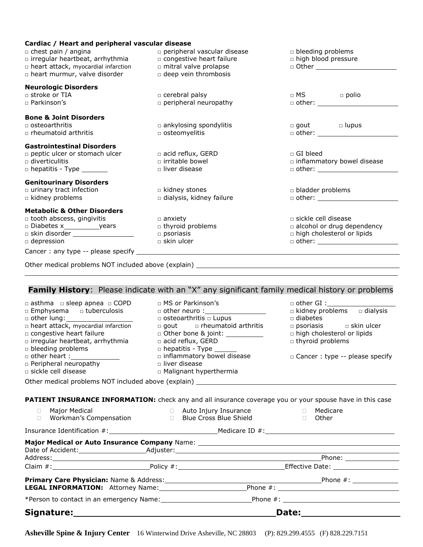| Cardiac / Heart and peripheral vascular disease<br>□ chest pain / angina<br>□ irregular heartbeat, arrhythmia<br>n heart attack, myocardial infarction<br>n heart murmur, valve disorder | $\square$ peripheral vascular disease<br>□ congestive heart failure<br>n mitral valve prolapse<br>□ deep vein thrombosis | $\Box$ bleeding problems<br>n high blood pressure<br>$\Box$ Other $\Box$                                                |  |
|------------------------------------------------------------------------------------------------------------------------------------------------------------------------------------------|--------------------------------------------------------------------------------------------------------------------------|-------------------------------------------------------------------------------------------------------------------------|--|
| <b>Neurologic Disorders</b><br>□ stroke or TIA<br>$\Box$ Parkinson's                                                                                                                     | $\Box$ cerebral palsy<br>peripheral neuropathy                                                                           | $\Box$ MS $\Box$ polio                                                                                                  |  |
| <b>Bone &amp; Joint Disorders</b><br>$\Box$ osteoarthritis<br>$\Box$ rheumatoid arthritis                                                                                                | $\Box$ ankylosing spondylitis<br>o osteomyelitis                                                                         | $\Box$ gout $\Box$ lupus<br>$\Box$ other: $\_\_$                                                                        |  |
| <b>Gastrointestinal Disorders</b><br>peptic ulcer or stomach ulcer<br>$\Box$ diverticulitis<br>$\Box$ hepatitis - Type $\_\_\_\_\_\_\_\_\_\_\_\_\_\_\_\_\_\_\_$                          | $\Box$ acid reflux, GERD<br>$\Box$ irritable bowel<br>$\Box$ liver disease                                               | $\Box$ GI bleed<br>$\Box$ inflammatory bowel disease                                                                    |  |
| <b>Genitourinary Disorders</b><br>$\Box$ urinary tract infection<br>$\Box$ kidney problems                                                                                               | $\Box$ kidney stones<br>a dialysis, kidney failure                                                                       | $\Box$ bladder problems<br>$\Box$ other: $\_\_$                                                                         |  |
| <b>Metabolic &amp; Other Disorders</b><br>□ tooth abscess, gingivitis<br>□ skin disorder __________________<br>$\Box$ depression                                                         | $\Box$ anxiety<br>$\Box$ thyroid problems<br>$\Box$ psoriasis<br>$\Box$ skin ulcer                                       | □ sickle cell disease<br>$\Box$ alcohol or drug dependency<br>$\Box$ high cholesterol or lipids<br>$\Box$ other: $\_\_$ |  |
| Other medical problems NOT included above (explain)                                                                                                                                      |                                                                                                                          |                                                                                                                         |  |

## **Family History**: Please indicate with an "X" any significant family medical history or problems

| $\Box$ asthma $\Box$ sleep apnea $\Box$ COPD<br>□ Emphysema □ tuberculosis<br>n heart attack, myocardial infarction<br>□ congestive heart failure<br>n irregular heartbeat, arrhythmia<br><b>p</b> bleeding problems<br>n Peripheral neuropathy<br>□ sickle cell disease | $\Box$ MS or Parkinson's<br>□ other neuro : ___________________<br>$\Box$ osteoarthritis $\Box$ Lupus<br>$\Box$ gout $\Box$ rheumatoid arthritis<br>acid reflux, GERD<br>$\Box$ hepatitis - Type $\_\_\_\_\_\_\_\_\_\$<br>□ inflammatory bowel disease<br>$\Box$ liver disease<br>□ Malignant hyperthermia<br>Other medical problems NOT included above (explain) <b>COVID-1000</b> 2012 12:20:20 20:20:20:20:20:20:20:20:20:20:20:20 | $\Box$ other GI :<br>$\Box$ kidney problems $\Box$ dialysis<br>$\Box$ diabetes<br>$\Box$ psoriasis $\Box$ skin ulcer<br>n high cholesterol or lipids<br>$\Box$ thyroid problems<br>□ Cancer : type -- please specify |
|--------------------------------------------------------------------------------------------------------------------------------------------------------------------------------------------------------------------------------------------------------------------------|---------------------------------------------------------------------------------------------------------------------------------------------------------------------------------------------------------------------------------------------------------------------------------------------------------------------------------------------------------------------------------------------------------------------------------------|----------------------------------------------------------------------------------------------------------------------------------------------------------------------------------------------------------------------|
|                                                                                                                                                                                                                                                                          |                                                                                                                                                                                                                                                                                                                                                                                                                                       |                                                                                                                                                                                                                      |
|                                                                                                                                                                                                                                                                          | PATIENT INSURANCE INFORMATION: check any and all insurance coverage you or your spouse have in this case                                                                                                                                                                                                                                                                                                                              |                                                                                                                                                                                                                      |
| $\Box$<br>П.                                                                                                                                                                                                                                                             |                                                                                                                                                                                                                                                                                                                                                                                                                                       |                                                                                                                                                                                                                      |
|                                                                                                                                                                                                                                                                          |                                                                                                                                                                                                                                                                                                                                                                                                                                       |                                                                                                                                                                                                                      |
|                                                                                                                                                                                                                                                                          |                                                                                                                                                                                                                                                                                                                                                                                                                                       |                                                                                                                                                                                                                      |
|                                                                                                                                                                                                                                                                          |                                                                                                                                                                                                                                                                                                                                                                                                                                       |                                                                                                                                                                                                                      |
|                                                                                                                                                                                                                                                                          | Address: Andreas Address: Address: Address: Address: Address: Address: Address: Address: Address: Address: Address: Address: Address: Address: Address: Address: Address: Address: Address: Address: Address: Address: Address                                                                                                                                                                                                        |                                                                                                                                                                                                                      |
|                                                                                                                                                                                                                                                                          |                                                                                                                                                                                                                                                                                                                                                                                                                                       |                                                                                                                                                                                                                      |
|                                                                                                                                                                                                                                                                          |                                                                                                                                                                                                                                                                                                                                                                                                                                       |                                                                                                                                                                                                                      |
|                                                                                                                                                                                                                                                                          |                                                                                                                                                                                                                                                                                                                                                                                                                                       |                                                                                                                                                                                                                      |
|                                                                                                                                                                                                                                                                          |                                                                                                                                                                                                                                                                                                                                                                                                                                       |                                                                                                                                                                                                                      |
|                                                                                                                                                                                                                                                                          |                                                                                                                                                                                                                                                                                                                                                                                                                                       |                                                                                                                                                                                                                      |

**Asheville Spine & Injury Center** 16 Winterwind Drive Asheville, NC 28803 (P): 829.299.4555 (F) 828.229.7151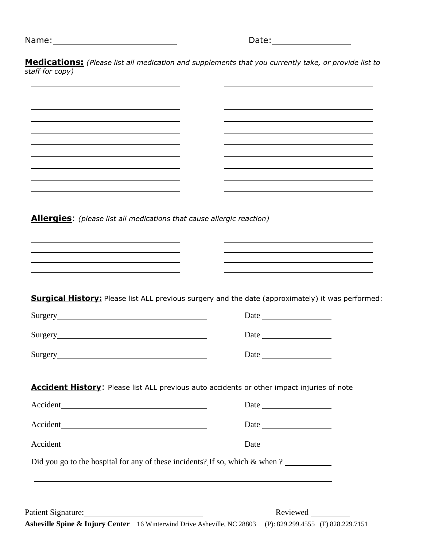| Name: | Date: |
|-------|-------|
|-------|-------|

**Medications:** *(Please list all medication and supplements that you currently take, or provide list to staff for copy)*

**Allergies**: *(please list all medications that cause allergic reaction)*

**Surgical History:** Please list ALL previous surgery and the date (approximately) it was performed:

|                | Date |
|----------------|------|
| <b>Surgery</b> | Date |
| Surgery        | Date |

**Accident History:** Please list ALL previous auto accidents or other impact injuries of note

| Accident                                                                        | Date                                                                                                                                                                                                                          |
|---------------------------------------------------------------------------------|-------------------------------------------------------------------------------------------------------------------------------------------------------------------------------------------------------------------------------|
| Accident                                                                        |                                                                                                                                                                                                                               |
| Accident                                                                        | Date and the same state of the state of the state of the state of the state of the state of the state of the state of the state of the state of the state of the state of the state of the state of the state of the state of |
| Did you go to the hospital for any of these incidents? If so, which $\&$ when ? |                                                                                                                                                                                                                               |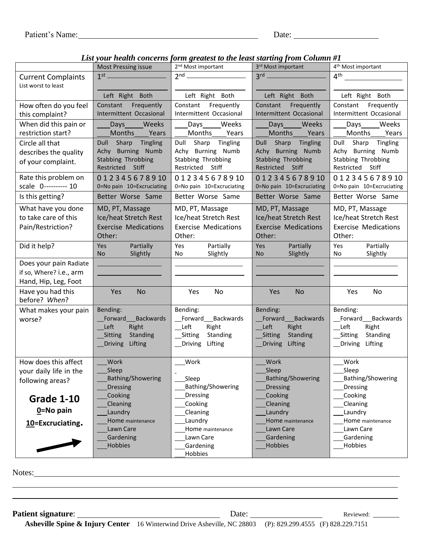*List your health concerns form greatest to the least starting from Column #1*

|                                    | <b>Most Pressing issue</b>                  | your neamn concerns form greatest to the teast starting from communit<br>2 <sup>nd</sup> Most important | 3rd Most important                       | 4 <sup>th</sup> Most important           |
|------------------------------------|---------------------------------------------|---------------------------------------------------------------------------------------------------------|------------------------------------------|------------------------------------------|
| <b>Current Complaints</b>          |                                             | $2nd$ and $\overline{\phantom{a}a^{2}$                                                                  | 3 <sup>rd</sup>                          | $4^{\text{th}}$                          |
| List worst to least                |                                             |                                                                                                         |                                          |                                          |
|                                    | Left Right Both                             | Left Right Both                                                                                         | Left Right Both                          | Left Right Both                          |
| How often do you feel              | Constant Frequently                         | Constant Frequently                                                                                     | Constant Frequently                      | Constant Frequently                      |
| this complaint?                    | Intermittent Occasional                     | Intermittent Occasional                                                                                 | Intermittent Occasional                  | Intermittent Occasional                  |
| When did this pain or              | Days Weeks                                  | Days Weeks                                                                                              | Days Weeks                               | Days_____Weeks                           |
| restriction start?                 | Months Years                                | Months Years                                                                                            | Months Years                             | Months Years                             |
| Circle all that                    | Dull Sharp Tingling<br>Achy Burning Numb    | Dull Sharp Tingling<br>Achy Burning Numb                                                                | Dull Sharp Tingling<br>Achy Burning Numb | Dull Sharp Tingling<br>Achy Burning Numb |
| describes the quality              | Stabbing Throbbing                          | Stabbing Throbbing                                                                                      | Stabbing Throbbing                       | Stabbing Throbbing                       |
| of your complaint.                 | Restricted Stiff                            | Restricted Stiff                                                                                        | Restricted Stiff                         | Restricted Stiff                         |
| Rate this problem on               | 012345678910                                | 012345678910                                                                                            | 012345678910                             | 012345678910                             |
| scale 0---------- 10               | 0=No pain 10=Excruciating                   | 0=No pain 10=Excruciating                                                                               | 0=No pain 10=Excruciating                | 0=No pain 10=Excruciating                |
| Is this getting?                   | Better Worse Same                           | Better Worse Same                                                                                       | Better Worse Same                        | Better Worse Same                        |
| What have you done                 | MD, PT, Massage                             | MD, PT, Massage                                                                                         | MD, PT, Massage                          | MD, PT, Massage                          |
| to take care of this               | Ice/heat Stretch Rest                       | Ice/heat Stretch Rest                                                                                   | Ice/heat Stretch Rest                    | Ice/heat Stretch Rest                    |
| Pain/Restriction?                  | <b>Exercise Medications</b>                 | <b>Exercise Medications</b>                                                                             | <b>Exercise Medications</b>              | <b>Exercise Medications</b>              |
|                                    | Other:                                      | Other:                                                                                                  | Other:                                   | Other:                                   |
| Did it help?                       | Partially<br>Yes                            | Yes<br>Partially                                                                                        | Yes<br>Partially                         | Yes<br>Partially                         |
|                                    | Slightly<br>No.                             | No<br>Slightly                                                                                          | <b>No</b><br>Slightly                    | Slightly<br>No                           |
| Does your pain Radiate             |                                             |                                                                                                         |                                          |                                          |
| if so, Where? i.e., arm            |                                             |                                                                                                         |                                          |                                          |
| Hand, Hip, Leg, Foot               |                                             |                                                                                                         |                                          |                                          |
| Have you had this<br>before? When? | Yes<br><b>No</b>                            | Yes<br>No                                                                                               | <b>No</b><br>Yes                         | Yes<br>No                                |
| What makes your pain               | Bending:                                    | Bending:                                                                                                | Bending:                                 | Bending:                                 |
| worse?                             | Forward Backwards                           | Forward Backwards                                                                                       | Forward Backwards                        | Forward Backwards                        |
|                                    | Right<br>Left                               | Left<br>Right                                                                                           | __Left<br>Right                          | Right<br>Left                            |
|                                    | Standing<br>_Sitting                        | Sitting Standing                                                                                        | Standing<br>_Sitting                     | Standing<br>_Sitting                     |
|                                    | <b>Driving</b><br>Lifting                   | Driving Lifting                                                                                         | _Driving Lifting                         | Driving Lifting                          |
|                                    |                                             |                                                                                                         |                                          |                                          |
| How does this affect               | Work                                        | Work                                                                                                    | Work                                     | Work                                     |
| your daily life in the             | Sleep                                       |                                                                                                         | Sleep                                    | _Sleep                                   |
| following areas?                   | <b>Bathing/Showering</b><br><b>Dressing</b> | Sleep<br>Bathing/Showering                                                                              | <b>Bathing/Showering</b><br>Dressing     | Bathing/Showering<br>Dressing            |
|                                    | Cooking                                     | Dressing                                                                                                | Cooking                                  | Cooking                                  |
| <b>Grade 1-10</b>                  | Cleaning                                    | Cooking                                                                                                 | Cleaning                                 | Cleaning                                 |
| $0 = No$ pain                      | Laundry                                     | Cleaning                                                                                                | Laundry                                  | Laundry                                  |
| 10=Excruciating.                   | Home maintenance                            | Laundry                                                                                                 | Home maintenance                         | Home maintenance                         |
|                                    | Lawn Care                                   | Home maintenance                                                                                        | Lawn Care                                | Lawn Care                                |
|                                    | Gardening                                   | Lawn Care                                                                                               | Gardening                                | Gardening                                |
|                                    | Hobbies                                     | Gardening<br>Hobbies                                                                                    | Hobbies                                  | Hobbies                                  |
|                                    |                                             |                                                                                                         |                                          |                                          |

Notes: Notes: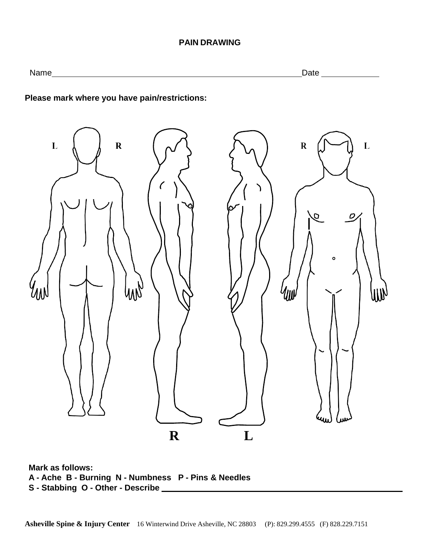#### **PAIN DRAWING**

Name Date

**Please mark where you have pain/restrictions:**



**Mark as follows: A - Ache B - Burning N - Numbness P - Pins & Needles S - Stabbing O - Other - Describe**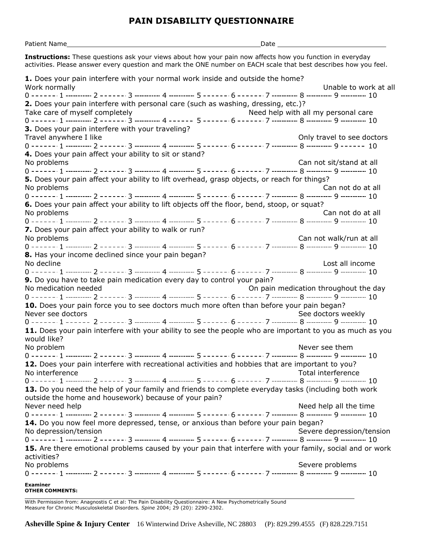## **PAIN DISABILITY QUESTIONNAIRE**

| Patient Name                                                                                                                                                                                                                  | _Date _____ |                                       |  |
|-------------------------------------------------------------------------------------------------------------------------------------------------------------------------------------------------------------------------------|-------------|---------------------------------------|--|
| Instructions: These questions ask your views about how your pain now affects how you function in everyday<br>activities. Please answer every question and mark the ONE number on EACH scale that best describes how you feel. |             |                                       |  |
| 1. Does your pain interfere with your normal work inside and outside the home?                                                                                                                                                |             |                                       |  |
| Work normally                                                                                                                                                                                                                 |             | Unable to work at all                 |  |
| 2. Does your pain interfere with personal care (such as washing, dressing, etc.)?                                                                                                                                             |             |                                       |  |
| Take care of myself completely                                                                                                                                                                                                |             | Need help with all my personal care   |  |
|                                                                                                                                                                                                                               |             |                                       |  |
| 3. Does your pain interfere with your traveling?                                                                                                                                                                              |             |                                       |  |
| Travel anywhere I like                                                                                                                                                                                                        |             | Only travel to see doctors            |  |
|                                                                                                                                                                                                                               |             |                                       |  |
| 4. Does your pain affect your ability to sit or stand?                                                                                                                                                                        |             |                                       |  |
| No problems                                                                                                                                                                                                                   |             | Can not sit/stand at all              |  |
|                                                                                                                                                                                                                               |             |                                       |  |
| 5. Does your pain affect your ability to lift overhead, grasp objects, or reach for things?                                                                                                                                   |             |                                       |  |
| No problems                                                                                                                                                                                                                   |             | Can not do at all                     |  |
| 6. Does your pain affect your ability to lift objects off the floor, bend, stoop, or squat?                                                                                                                                   |             |                                       |  |
| No problems                                                                                                                                                                                                                   |             | Can not do at all                     |  |
|                                                                                                                                                                                                                               |             |                                       |  |
| 7. Does your pain affect your ability to walk or run?                                                                                                                                                                         |             |                                       |  |
| No problems                                                                                                                                                                                                                   |             | Can not walk/run at all               |  |
|                                                                                                                                                                                                                               |             |                                       |  |
| 8. Has your income declined since your pain began?                                                                                                                                                                            |             |                                       |  |
| No decline                                                                                                                                                                                                                    |             | Lost all income                       |  |
|                                                                                                                                                                                                                               |             |                                       |  |
| 9. Do you have to take pain medication every day to control your pain?                                                                                                                                                        |             |                                       |  |
| No medication needed                                                                                                                                                                                                          |             | On pain medication throughout the day |  |
|                                                                                                                                                                                                                               |             |                                       |  |
| 10. Does your pain force you to see doctors much more often than before your pain began?                                                                                                                                      |             |                                       |  |
| Never see doctors                                                                                                                                                                                                             |             | See doctors weekly                    |  |
|                                                                                                                                                                                                                               |             |                                       |  |
| 11. Does your pain interfere with your ability to see the people who are important to you as much as you<br>would like?                                                                                                       |             |                                       |  |
| No problem                                                                                                                                                                                                                    |             | Never see them                        |  |
|                                                                                                                                                                                                                               |             |                                       |  |
| 12. Does your pain interfere with recreational activities and hobbies that are important to you?                                                                                                                              |             |                                       |  |
| No interference                                                                                                                                                                                                               |             | Total interference                    |  |
| 13. Do you need the help of your family and friends to complete everyday tasks (including both work<br>outside the home and housework) because of your pain?                                                                  |             |                                       |  |
| Never need help                                                                                                                                                                                                               |             | Need help all the time                |  |
|                                                                                                                                                                                                                               |             |                                       |  |
| 14. Do you now feel more depressed, tense, or anxious than before your pain began?<br>No depression/tension                                                                                                                   |             | Severe depression/tension             |  |
|                                                                                                                                                                                                                               |             |                                       |  |
| 15. Are there emotional problems caused by your pain that interfere with your family, social and or work<br>activities?                                                                                                       |             |                                       |  |
| No problems                                                                                                                                                                                                                   |             | Severe problems                       |  |
|                                                                                                                                                                                                                               |             |                                       |  |
| <b>Examiner</b>                                                                                                                                                                                                               |             |                                       |  |
| <b>OTHER COMMENTS:</b>                                                                                                                                                                                                        |             |                                       |  |

With Permission from: Anagnostis C et al: The Pain Disability Questionnaire: A New Psychometrically Sound Measure for Chronic Musculoskeletal Disorders*. Spine* 2004; 29 (20): 2290-2302.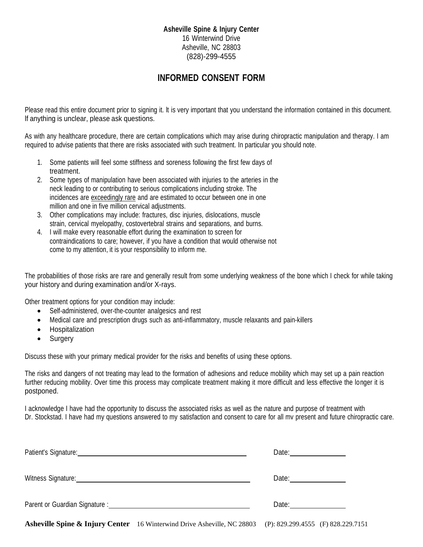#### **Asheville Spine & Injury Center** 16 Winterwind Drive Asheville, NC 28803 (828)-299-4555

## **INFORMED CONSENT FORM**

Please read this entire document prior to signing it. It is very important that you understand the information contained in this document. lf anything is unclear, please ask questions.

As with any healthcare procedure, there are certain complications which may arise during chiropractic manipulation and therapy. I am required to advise patients that there are risks associated with such treatment. In particular you should note.

- 1. Some patients will feel some stiffness and soreness following the first few days of treatment.
- 2. Some types of manipulation have been associated with injuries to the arteries in the neck leading to or contributing to serious complications including stroke. The incidences are exceedingly rare and are estimated to occur between one in one million and one in five million cervical adjustments.
- 3. Other complications may include: fractures, disc injuries, dislocations, muscle strain, cervical myelopathy, costovertebral strains and separations, and burns.
- 4. I will make every reasonable effort during the examination to screen for contraindications to care; however, if you have a condition that would otherwise not come to my attention, it is your responsibility to inform me.

The probabilities of those risks are rare and generally result from some underlying weakness of the bone which I check for while taking your history and during examination and/or X-rays.

Other treatment options for your condition may include:

- Self-administered, over-the-counter analgesics and rest
- Medical care and prescription drugs such as anti-inflammatory, muscle relaxants and pain-killers
- **Hospitalization**
- **Surgery**

Discuss these with your primary medical provider for the risks and benefits of using these options.

The risks and dangers of not treating may lead to the formation of adhesions and reduce mobility which may set up a pain reaction further reducing mobility. Over time this process may complicate treatment making it more difficult and less effective the longer it is postponed.

I acknowledge I have had the opportunity to discuss the associated risks as well as the nature and purpose of treatment with Dr. Stockstad. I have had my questions answered to my satisfaction and consent to care for all mv present and future chiropractic care.

| Patient's Signature: Management of the Signature: Management of the Signature: Management of the Signature of the Signature of the Signature of the Signature of the Signature of the Signature of the Signature of the Signat | Date: _______________                                                                                                                                                                                                          |
|--------------------------------------------------------------------------------------------------------------------------------------------------------------------------------------------------------------------------------|--------------------------------------------------------------------------------------------------------------------------------------------------------------------------------------------------------------------------------|
| Witness Signature:                                                                                                                                                                                                             | Date: <u>________</u>                                                                                                                                                                                                          |
| Parent or Guardian Signature : New York Channel Contract Channel Channel Channel Channel Channel Channel Channel Channel Channel Channel Channel Channel Channel Channel Channel Channel Channel Channel Channel Channel Chann | Date: the contract of the contract of the contract of the contract of the contract of the contract of the contract of the contract of the contract of the contract of the contract of the contract of the contract of the cont |

**Asheville Spine & Injury Center** 16 Winterwind Drive Asheville, NC 28803 (P): 829.299.4555 (F) 828.229.7151